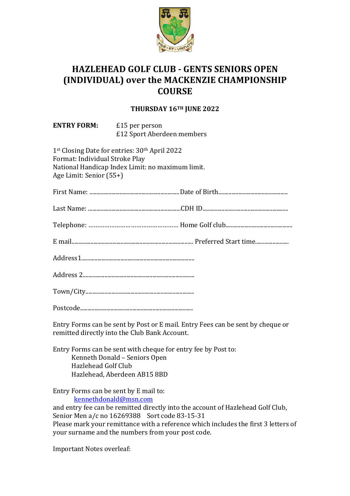

## **HAZLEHEAD GOLF CLUB - GENTS SENIORS OPEN! (INDIVIDUAL) over the MACKENZIE CHAMPIONSHIP COURSE**

## **THURSDAY!16TH!JUNE!2022**

| <b>ENTRY FORM:</b> <i>E</i> 15 per person                 | £12 Sport Aberdeen members                                                                                    |  |
|-----------------------------------------------------------|---------------------------------------------------------------------------------------------------------------|--|
| Format: Individual Stroke Play<br>Age Limit: Senior (55+) | 1st Closing Date for entries: 30 <sup>th</sup> April 2022<br>National Handicap Index Limit: no maximum limit. |  |
|                                                           |                                                                                                               |  |
|                                                           |                                                                                                               |  |
|                                                           |                                                                                                               |  |
|                                                           |                                                                                                               |  |
|                                                           |                                                                                                               |  |
|                                                           |                                                                                                               |  |
|                                                           |                                                                                                               |  |
|                                                           |                                                                                                               |  |

Entry Forms can be sent by Post or E mail. Entry Fees can be sent by cheque or remitted directly into the Club Bank Account.

Entry Forms can be sent with cheque for entry fee by Post to: Kenneth Donald – Seniors Open Hazlehead Golf Club Hazlehead, Aberdeen AB15 8BD

Entry Forms can be sent by E mail to: kennethdonald@msn.com

and entry fee can be remitted directly into the account of Hazlehead Golf Club, Senior Men a/c no 16269388 Sort code 83-15-31 Please mark your remittance with a reference which includes the first 3 letters of your surname and the numbers from your post code.

Important Notes overleaf: